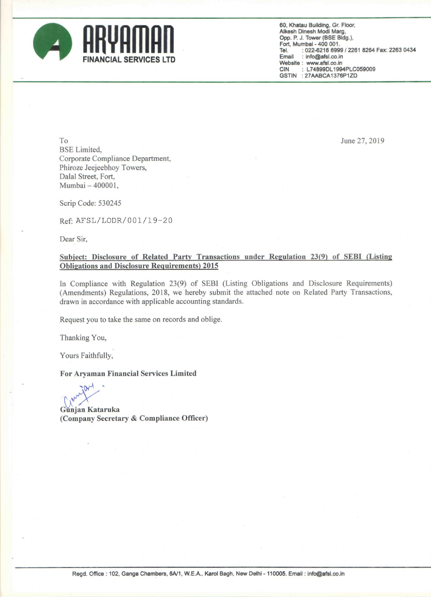

60, Khatau Building. Gr. Floor. Alkesh Dinesh Modi Marg, Opp. P. J. Tower (BSE Bldg), Fort. Mumbai - 400 001. <sup>7</sup> Tel. : 022-6216 6999 / 2261 8264 Fax: 2263 0434<br>Email : info@afsl.co.in : info@afsl.co.in Website: www.afsl.co.in<br>CIN: L74899DL199 : L74899DL1994PLC059009 GSTIN :27AABCA1376P1ZD

 $\mu$  June 27, 2019 BSE Limited, Corporate Compliance Department, Phiroze Jeejeebhoy Towers, Dalal Street, Fort, Mumbai — 400001,

Scrip Code: 530245

Ref; AFSL/LODR/OOl/l9—20

Dear Sir,

## Subject: Disclosure of Related Party Transactions under Regulation 23(9) of SEBI (Listing Obligations and Disclosure Reguirements] 2015

In Compliance with Regulation 23(9) of SEBI (Listing Obligations and Disclosure Requirements) (Amendments) Regulations, 2018, we hereby submit the attached note on Related Party Transactions, drawn in accordance with applicable accounting standards.

Request you to take the same on records and oblige.

Thanking You,

Yours Faithfully,

For Aryaman Financial Services Limited

Gunjan Kataruka

(Company Secretary & Compliance Officer)